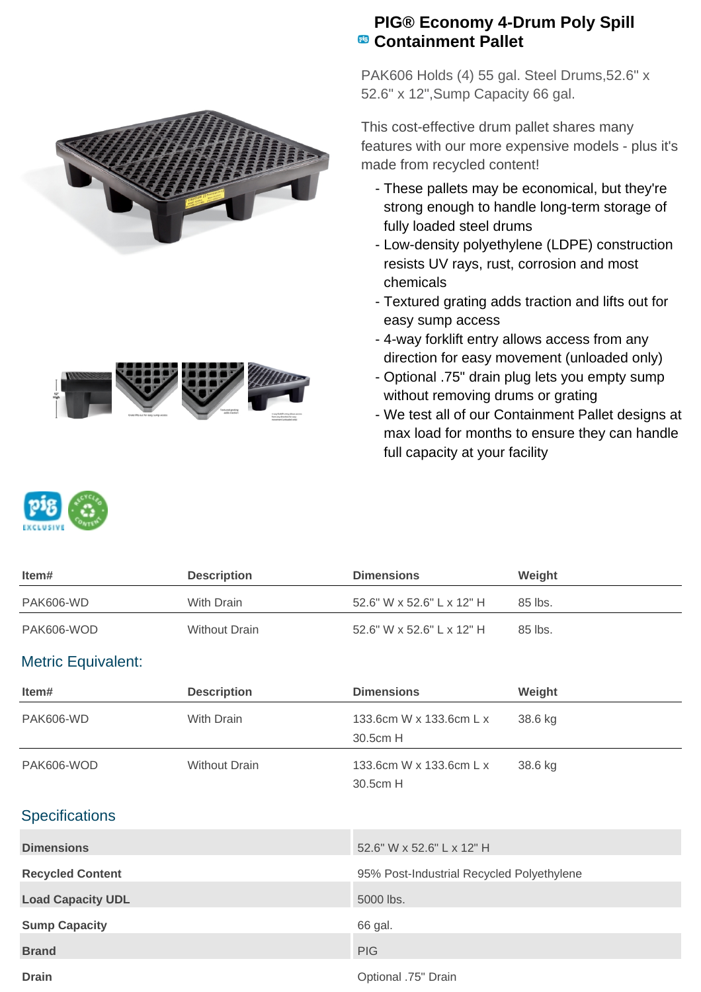



## **PIG® Economy 4-Drum Poly Spill Containment Pallet**

PAK606 Holds (4) 55 gal. Steel Drums,52.6" x 52.6" x 12",Sump Capacity 66 gal.

This cost-effective drum pallet shares many features with our more expensive models - plus it's made from recycled content!

- These pallets may be economical, but they're strong enough to handle long-term storage of fully loaded steel drums
- Low-density polyethylene (LDPE) construction resists UV rays, rust, corrosion and most chemicals
- Textured grating adds traction and lifts out for easy sump access
- 4-way forklift entry allows access from any direction for easy movement (unloaded only)
- Optional .75" drain plug lets you empty sump without removing drums or grating
- We test all of our Containment Pallet designs at max load for months to ensure they can handle full capacity at your facility



| ltem#      | <b>Description</b> | <b>Dimensions</b>         | Weight  |
|------------|--------------------|---------------------------|---------|
| PAK606-WD  | With Drain         | 52.6" W x 52.6" L x 12" H | 85 lbs. |
| PAK606-WOD | Without Drain      | 52.6" W x 52.6" L x 12" H | 85 lbs. |

## Metric Equivalent:

| Item#                    | <b>Description</b>   | <b>Dimensions</b>                         | Weight  |
|--------------------------|----------------------|-------------------------------------------|---------|
| <b>PAK606-WD</b>         | With Drain           | 133.6cm W x 133.6cm L x<br>30.5cm H       | 38.6 kg |
| PAK606-WOD               | <b>Without Drain</b> | 133.6cm W x 133.6cm L x<br>30.5cm H       | 38.6 kg |
| <b>Specifications</b>    |                      |                                           |         |
| <b>Dimensions</b>        |                      | 52.6" W x 52.6" L x 12" H                 |         |
| <b>Recycled Content</b>  |                      | 95% Post-Industrial Recycled Polyethylene |         |
| <b>Load Capacity UDL</b> |                      | 5000 lbs.                                 |         |
| <b>Sump Capacity</b>     |                      | 66 gal.                                   |         |
| <b>Brand</b>             |                      | <b>PIG</b>                                |         |
| <b>Drain</b>             |                      | Optional .75" Drain                       |         |